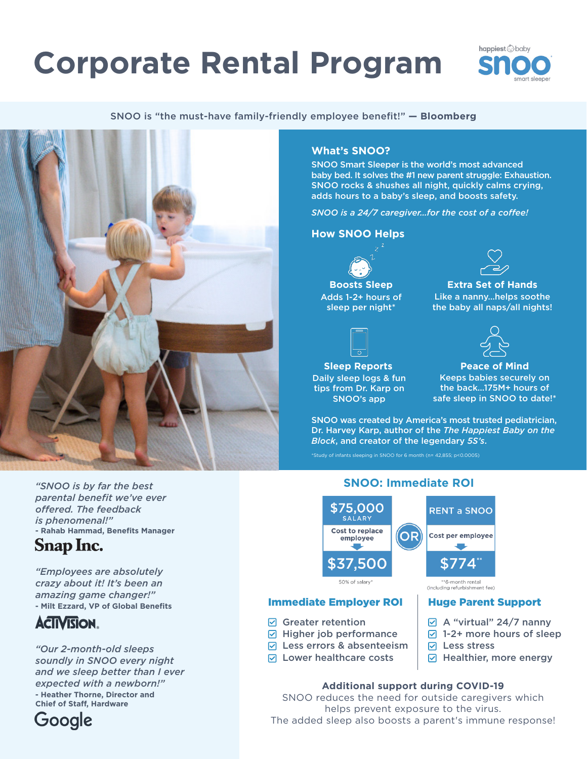# **Corporate Rental Program**



SNOO is "the must-have family-friendly employee benefit!" **— Bloomberg**



### **What's SNOO?**

SNOO Smart Sleeper is the world's most advanced baby bed. It solves the #1 new parent struggle: Exhaustion. SNOO rocks & shushes all night, quickly calms crying, adds hours to a baby's sleep, and boosts safety.

*SNOO is a 24/7 caregiver…for the cost of a coffee!*

### **How SNOO Helps**

**Boosts Sleep** Adds 1-2+ hours of sleep per night\*



Like a nanny…helps soothe the baby all naps/all nights!

**Sleep Reports** Daily sleep logs & fun tips from Dr. Karp on SNOO's app

 $\boxdot$  Greater retention

 $\nabla$  Higher job performance  $\sqrt{ }$  Less errors & absenteeism  $\sqrt{ }$  Lower healthcare costs



**Peace of Mind** Keeps babies securely on the back…175M+ hours of safe sleep in SNOO to date!\*

SNOO was created by America's most trusted pediatrician, Dr. Harvey Karp, author of the *The Happiest Baby on the Block*, and creator of the legendary *5S's*.

\*Study of infants sleeping in SNOO for 6 month (n= 42,855; p<0.0005)

*"SNOO is by far the best parental benefit we've ever offered. The feedback is phenomenal!"* **- Rahab Hammad, Benefits Manager Snap Inc.** 

*"Employees are absolutely crazy about it! It's been an amazing game changer!"*  **- Milt Ezzard, VP of Global Benefits**

## **ACIIVISION.**

*"Our 2-month-old sleeps soundly in SNOO every night and we sleep better than I ever expected with a newborn!"* **- Heather Thorne, Director and Chief of Staff, Hardware**



### **SNOO: Immediate ROI**



### Immediate Employer ROI Huge Parent Support

- $\boxtimes$  A "virtual" 24/7 nanny
- $\sqrt{2}$  1-2+ more hours of sleep
	- $\nabla$  Less stress
	- $\boxdot$  Healthier, more energy

### **Additional support during COVID-19**

SNOO reduces the need for outside caregivers which helps prevent exposure to the virus. The added sleep also boosts a parent's immune response!